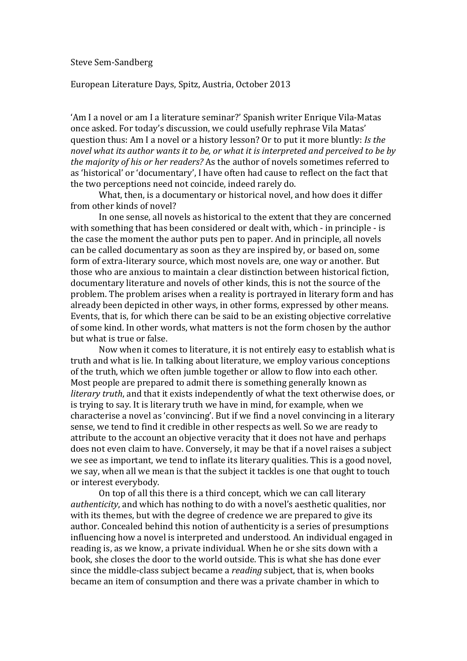## Steve Sem-Sandberg

## European Literature Days, Spitz, Austria, October 2013

'Am I a novel or am I a literature seminar?' Spanish writer Enrique Vila-Matas once asked. For today's discussion, we could usefully rephrase Vila Matas' question thus: Am I a novel or a history lesson? Or to put it more bluntly: *Is the novel what its author wants it to be, or what it is interpreted and perceived to be by the majority of his or her readers?* As the author of novels sometimes referred to as 'historical' or 'documentary', I have often had cause to reflect on the fact that the two perceptions need not coincide, indeed rarely do.

What, then, is a documentary or historical novel, and how does it differ from other kinds of novel?

In one sense, all novels as historical to the extent that they are concerned with something that has been considered or dealt with, which - in principle - is the case the moment the author puts pen to paper. And in principle, all novels can be called documentary as soon as they are inspired by, or based on, some form of extra-literary source, which most novels are, one way or another. But those who are anxious to maintain a clear distinction between historical fiction, documentary literature and novels of other kinds, this is not the source of the problem. The problem arises when a reality is portrayed in literary form and has already been depicted in other ways, in other forms, expressed by other means. Events, that is, for which there can be said to be an existing objective correlative of some kind. In other words, what matters is not the form chosen by the author but what is true or false.

Now when it comes to literature, it is not entirely easy to establish what is truth and what is lie. In talking about literature, we employ various conceptions of the truth, which we often jumble together or allow to flow into each other. Most people are prepared to admit there is something generally known as *literary truth*, and that it exists independently of what the text otherwise does, or is trying to say. It is literary truth we have in mind, for example, when we characterise a novel as 'convincing'. But if we find a novel convincing in a literary sense, we tend to find it credible in other respects as well. So we are ready to attribute to the account an objective veracity that it does not have and perhaps does not even claim to have. Conversely, it may be that if a novel raises a subject we see as important, we tend to inflate its literary qualities. This is a good novel, we say, when all we mean is that the subject it tackles is one that ought to touch or interest everybody.

On top of all this there is a third concept, which we can call literary *authenticity*, and which has nothing to do with a novel's aesthetic qualities, nor with its themes, but with the degree of credence we are prepared to give its author. Concealed behind this notion of authenticity is a series of presumptions influencing how a novel is interpreted and understood. An individual engaged in reading is, as we know, a private individual. When he or she sits down with a book, she closes the door to the world outside. This is what she has done ever since the middle-class subject became a *reading* subject, that is, when books became an item of consumption and there was a private chamber in which to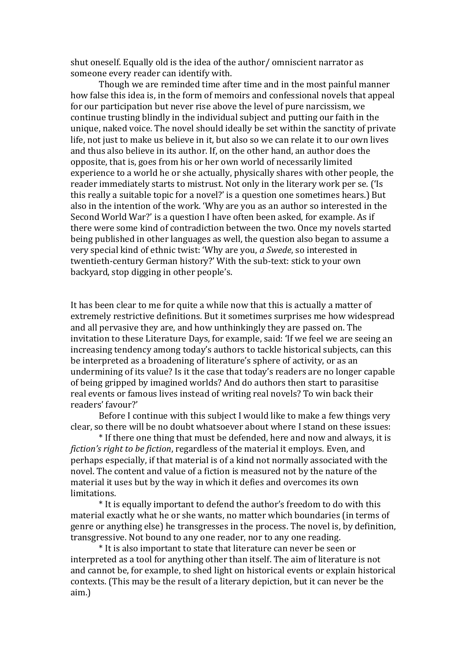shut oneself. Equally old is the idea of the author/ omniscient narrator as someone every reader can identify with.

Though we are reminded time after time and in the most painful manner how false this idea is, in the form of memoirs and confessional novels that appeal for our participation but never rise above the level of pure narcissism, we continue trusting blindly in the individual subject and putting our faith in the unique, naked voice. The novel should ideally be set within the sanctity of private life, not just to make us believe in it, but also so we can relate it to our own lives and thus also believe in its author. If, on the other hand, an author does the opposite, that is, goes from his or her own world of necessarily limited experience to a world he or she actually, physically shares with other people, the reader immediately starts to mistrust. Not only in the literary work per se. ('Is this really a suitable topic for a novel?' is a question one sometimes hears.) But also in the intention of the work. 'Why are you as an author so interested in the Second World War?' is a question I have often been asked, for example. As if there were some kind of contradiction between the two. Once my novels started being published in other languages as well, the question also began to assume a very special kind of ethnic twist: 'Why are you, *a Swede*, so interested in twentieth-century German history?' With the sub-text: stick to your own backyard, stop digging in other people's.

It has been clear to me for quite a while now that this is actually a matter of extremely restrictive definitions. But it sometimes surprises me how widespread and all pervasive they are, and how unthinkingly they are passed on. The invitation to these Literature Days, for example, said: 'If we feel we are seeing an increasing tendency among today's authors to tackle historical subjects, can this be interpreted as a broadening of literature's sphere of activity, or as an undermining of its value? Is it the case that today's readers are no longer capable of being gripped by imagined worlds? And do authors then start to parasitise real events or famous lives instead of writing real novels? To win back their readers' favour?'

Before I continue with this subject I would like to make a few things very clear, so there will be no doubt whatsoever about where I stand on these issues:

\* If there one thing that must be defended, here and now and always, it is *fiction's right to be fiction*, regardless of the material it employs. Even, and perhaps especially, if that material is of a kind not normally associated with the novel. The content and value of a fiction is measured not by the nature of the material it uses but by the way in which it defies and overcomes its own limitations.

\* It is equally important to defend the author's freedom to do with this material exactly what he or she wants, no matter which boundaries (in terms of genre or anything else) he transgresses in the process. The novel is, by definition, transgressive. Not bound to any one reader, nor to any one reading.

\* It is also important to state that literature can never be seen or interpreted as a tool for anything other than itself. The aim of literature is not and cannot be, for example, to shed light on historical events or explain historical contexts. (This may be the result of a literary depiction, but it can never be the aim.)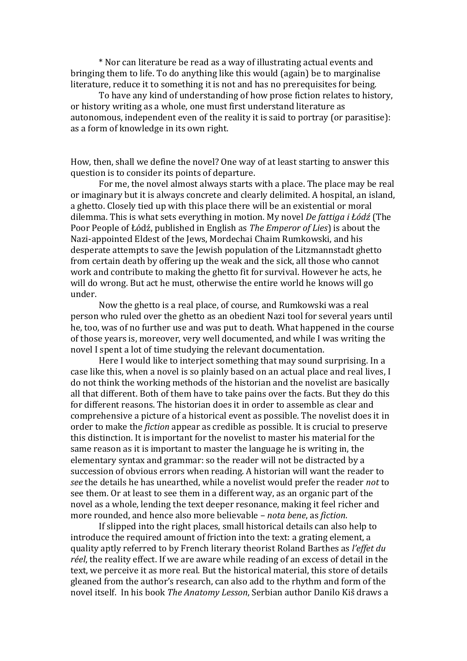\* Nor can literature be read as a way of illustrating actual events and bringing them to life. To do anything like this would (again) be to marginalise literature, reduce it to something it is not and has no prerequisites for being.

To have any kind of understanding of how prose fiction relates to history, or history writing as a whole, one must first understand literature as autonomous, independent even of the reality it is said to portray (or parasitise): as a form of knowledge in its own right.

How, then, shall we define the novel? One way of at least starting to answer this question is to consider its points of departure.

For me, the novel almost always starts with a place. The place may be real or imaginary but it is always concrete and clearly delimited. A hospital, an island, a ghetto. Closely tied up with this place there will be an existential or moral dilemma. This is what sets everything in motion. My novel *De fattiga i Łódź* (The Poor People of Łódź, published in English as *The Emperor of Lies*) is about the Nazi-appointed Eldest of the Jews, Mordechai Chaim Rumkowski, and his desperate attempts to save the Jewish population of the Litzmannstadt ghetto from certain death by offering up the weak and the sick, all those who cannot work and contribute to making the ghetto fit for survival. However he acts, he will do wrong. But act he must, otherwise the entire world he knows will go under.

Now the ghetto is a real place, of course, and Rumkowski was a real person who ruled over the ghetto as an obedient Nazi tool for several years until he, too, was of no further use and was put to death. What happened in the course of those years is, moreover, very well documented, and while I was writing the novel I spent a lot of time studying the relevant documentation.

Here I would like to interject something that may sound surprising. In a case like this, when a novel is so plainly based on an actual place and real lives, I do not think the working methods of the historian and the novelist are basically all that different. Both of them have to take pains over the facts. But they do this for different reasons. The historian does it in order to assemble as clear and comprehensive a picture of a historical event as possible. The novelist does it in order to make the *fiction* appear as credible as possible. It is crucial to preserve this distinction. It is important for the novelist to master his material for the same reason as it is important to master the language he is writing in, the elementary syntax and grammar: so the reader will not be distracted by a succession of obvious errors when reading. A historian will want the reader to *see* the details he has unearthed, while a novelist would prefer the reader *not* to see them. Or at least to see them in a different way, as an organic part of the novel as a whole, lending the text deeper resonance, making it feel richer and more rounded, and hence also more believable – *nota bene*, as *fiction*.

If slipped into the right places, small historical details can also help to introduce the required amount of friction into the text: a grating element, a quality aptly referred to by French literary theorist Roland Barthes as *l'effet du réel*, the reality effect. If we are aware while reading of an excess of detail in the text, we perceive it as more real. But the historical material, this store of details gleaned from the author's research, can also add to the rhythm and form of the novel itself. In his book *The Anatomy Lesson*, Serbian author Danilo Kiš draws a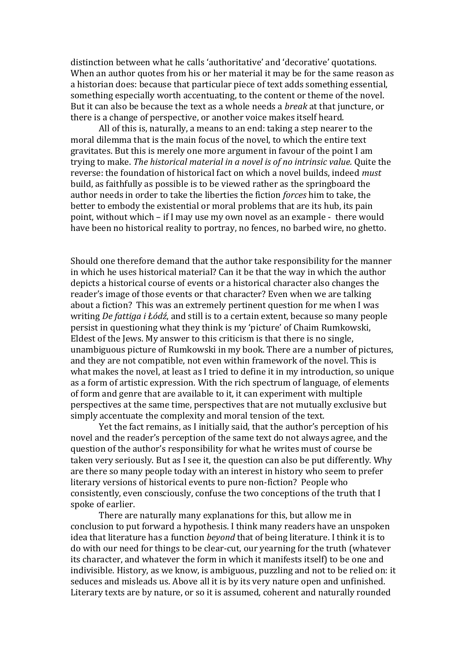distinction between what he calls 'authoritative' and 'decorative' quotations. When an author quotes from his or her material it may be for the same reason as a historian does: because that particular piece of text adds something essential, something especially worth accentuating, to the content or theme of the novel. But it can also be because the text as a whole needs a *break* at that juncture, or there is a change of perspective, or another voice makes itself heard.

All of this is, naturally, a means to an end: taking a step nearer to the moral dilemma that is the main focus of the novel, to which the entire text gravitates. But this is merely one more argument in favour of the point I am trying to make. *The historical material in a novel is of no intrinsic value.* Quite the reverse: the foundation of historical fact on which a novel builds, indeed *must* build, as faithfully as possible is to be viewed rather as the springboard the author needs in order to take the liberties the fiction *forces* him to take, the better to embody the existential or moral problems that are its hub, its pain point, without which – if I may use my own novel as an example - there would have been no historical reality to portray, no fences, no barbed wire, no ghetto.

Should one therefore demand that the author take responsibility for the manner in which he uses historical material? Can it be that the way in which the author depicts a historical course of events or a historical character also changes the reader's image of those events or that character? Even when we are talking about a fiction? This was an extremely pertinent question for me when I was writing *De fattiga i Łódź*, and still is to a certain extent, because so many people persist in questioning what they think is my 'picture' of Chaim Rumkowski, Eldest of the Jews. My answer to this criticism is that there is no single, unambiguous picture of Rumkowski in my book. There are a number of pictures, and they are not compatible, not even within framework of the novel. This is what makes the novel, at least as I tried to define it in my introduction, so unique as a form of artistic expression. With the rich spectrum of language, of elements of form and genre that are available to it, it can experiment with multiple perspectives at the same time, perspectives that are not mutually exclusive but simply accentuate the complexity and moral tension of the text.

Yet the fact remains, as I initially said, that the author's perception of his novel and the reader's perception of the same text do not always agree, and the question of the author's responsibility for what he writes must of course be taken very seriously. But as I see it, the question can also be put differently. Why are there so many people today with an interest in history who seem to prefer literary versions of historical events to pure non-fiction? People who consistently, even consciously, confuse the two conceptions of the truth that I spoke of earlier.

There are naturally many explanations for this, but allow me in conclusion to put forward a hypothesis. I think many readers have an unspoken idea that literature has a function *beyond* that of being literature. I think it is to do with our need for things to be clear-cut, our yearning for the truth (whatever its character, and whatever the form in which it manifests itself) to be one and indivisible. History, as we know, is ambiguous, puzzling and not to be relied on: it seduces and misleads us. Above all it is by its very nature open and unfinished. Literary texts are by nature, or so it is assumed, coherent and naturally rounded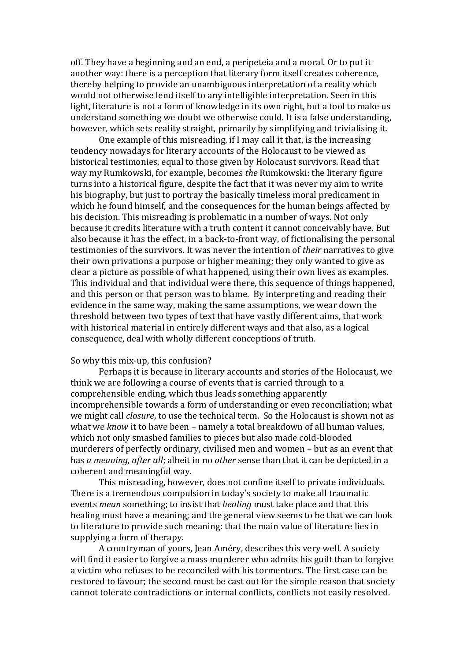off. They have a beginning and an end, a peripeteia and a moral. Or to put it another way: there is a perception that literary form itself creates coherence, thereby helping to provide an unambiguous interpretation of a reality which would not otherwise lend itself to any intelligible interpretation. Seen in this light, literature is not a form of knowledge in its own right, but a tool to make us understand something we doubt we otherwise could. It is a false understanding, however, which sets reality straight, primarily by simplifying and trivialising it.

One example of this misreading, if I may call it that, is the increasing tendency nowadays for literary accounts of the Holocaust to be viewed as historical testimonies, equal to those given by Holocaust survivors. Read that way my Rumkowski, for example, becomes *the* Rumkowski: the literary figure turns into a historical figure, despite the fact that it was never my aim to write his biography, but just to portray the basically timeless moral predicament in which he found himself, and the consequences for the human beings affected by his decision. This misreading is problematic in a number of ways. Not only because it credits literature with a truth content it cannot conceivably have. But also because it has the effect, in a back-to-front way, of fictionalising the personal testimonies of the survivors. It was never the intention of *their* narratives to give their own privations a purpose or higher meaning; they only wanted to give as clear a picture as possible of what happened, using their own lives as examples. This individual and that individual were there, this sequence of things happened, and this person or that person was to blame. By interpreting and reading their evidence in the same way, making the same assumptions, we wear down the threshold between two types of text that have vastly different aims, that work with historical material in entirely different ways and that also, as a logical consequence, deal with wholly different conceptions of truth.

## So why this mix-up, this confusion?

Perhaps it is because in literary accounts and stories of the Holocaust, we think we are following a course of events that is carried through to a comprehensible ending, which thus leads something apparently incomprehensible towards a form of understanding or even reconciliation; what we might call *closure*, to use the technical term. So the Holocaust is shown not as what we *know* it to have been – namely a total breakdown of all human values, which not only smashed families to pieces but also made cold-blooded murderers of perfectly ordinary, civilised men and women – but as an event that has *a meaning, after all*; albeit in no *other* sense than that it can be depicted in a coherent and meaningful way.

This misreading, however, does not confine itself to private individuals. There is a tremendous compulsion in today's society to make all traumatic events *mean* something; to insist that *healing* must take place and that this healing must have a meaning; and the general view seems to be that we can look to literature to provide such meaning: that the main value of literature lies in supplying a form of therapy.

A countryman of yours, Jean Améry, describes this very well. A society will find it easier to forgive a mass murderer who admits his guilt than to forgive a victim who refuses to be reconciled with his tormentors. The first case can be restored to favour; the second must be cast out for the simple reason that society cannot tolerate contradictions or internal conflicts, conflicts not easily resolved.